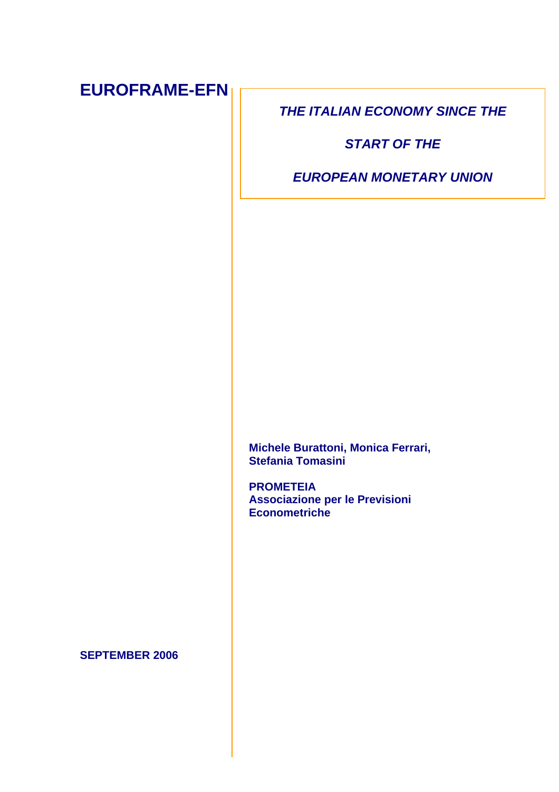# **EUROFRAME-EFN**

**THE ITALIAN ECONOMY SINCE THE** 

**START OF THE** 

**EUROPEAN MONETARY UNION** 

**Michele Burattoni, Monica Ferrari, Stefania Tomasini** 

**PROMETEIA Associazione per le Previsioni Econometriche** 

**SEPTEMBER 2006**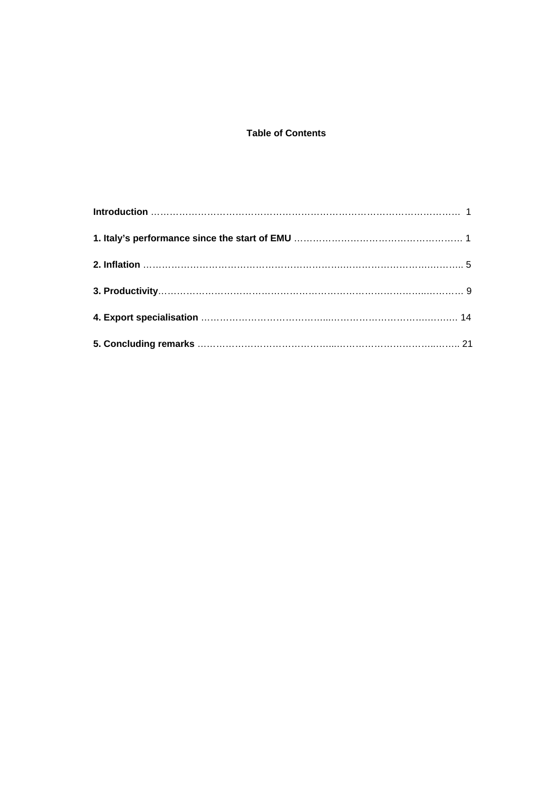# **Table of Contents**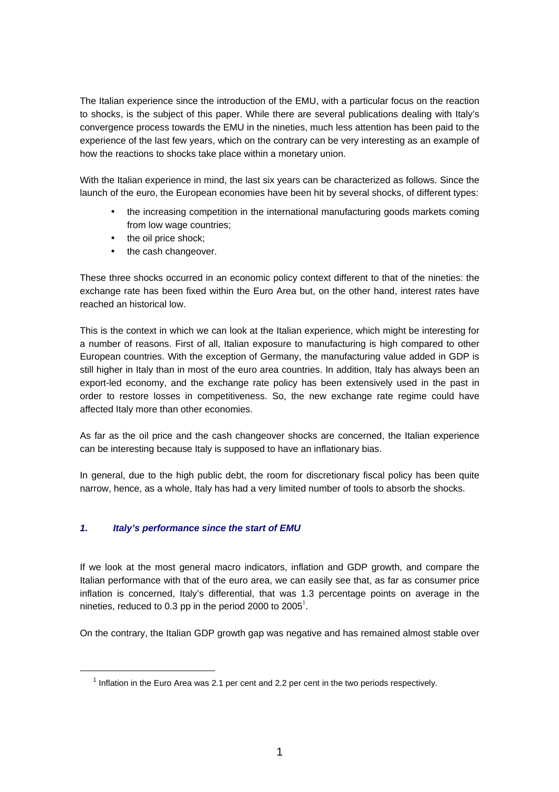The Italian experience since the introduction of the EMU, with a particular focus on the reaction to shocks, is the subject of this paper. While there are several publications dealing with Italy's convergence process towards the EMU in the nineties, much less attention has been paid to the experience of the last few years, which on the contrary can be very interesting as an example of how the reactions to shocks take place within a monetary union.

With the Italian experience in mind, the last six years can be characterized as follows. Since the launch of the euro, the European economies have been hit by several shocks, of different types:

- the increasing competition in the international manufacturing goods markets coming from low wage countries;
- the oil price shock;
- the cash changeover.

These three shocks occurred in an economic policy context different to that of the nineties: the exchange rate has been fixed within the Euro Area but, on the other hand, interest rates have reached an historical low.

This is the context in which we can look at the Italian experience, which might be interesting for a number of reasons. First of all, Italian exposure to manufacturing is high compared to other European countries. With the exception of Germany, the manufacturing value added in GDP is still higher in Italy than in most of the euro area countries. In addition, Italy has always been an export-led economy, and the exchange rate policy has been extensively used in the past in order to restore losses in competitiveness. So, the new exchange rate regime could have affected Italy more than other economies.

As far as the oil price and the cash changeover shocks are concerned, the Italian experience can be interesting because Italy is supposed to have an inflationary bias.

In general, due to the high public debt, the room for discretionary fiscal policy has been quite narrow, hence, as a whole, Italy has had a very limited number of tools to absorb the shocks.

## **1. Italy's performance since the start of EMU**

l

If we look at the most general macro indicators, inflation and GDP growth, and compare the Italian performance with that of the euro area, we can easily see that, as far as consumer price inflation is concerned, Italy's differential, that was 1.3 percentage points on average in the nineties, reduced to 0.3 pp in the period 2000 to 2005<sup>1</sup>.

On the contrary, the Italian GDP growth gap was negative and has remained almost stable over

 $<sup>1</sup>$  Inflation in the Euro Area was 2.1 per cent and 2.2 per cent in the two periods respectively.</sup>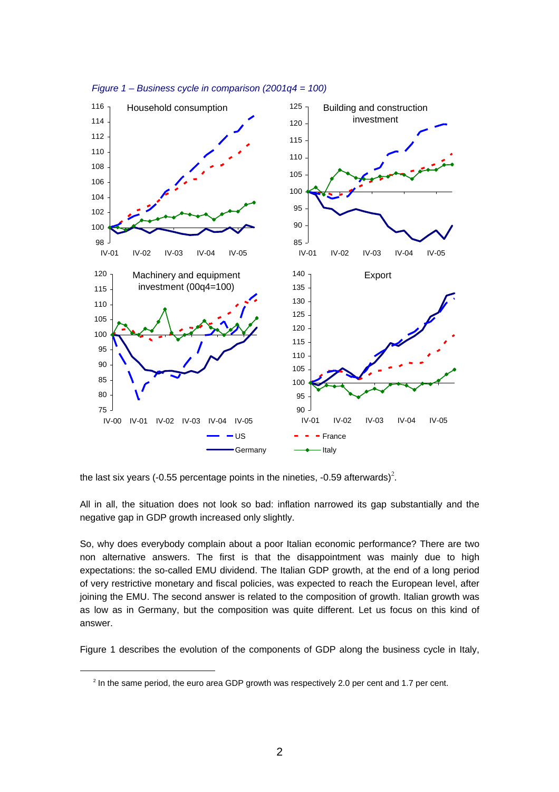



the last six years (-0.55 percentage points in the nineties, -0.59 afterwards)<sup>2</sup>.

All in all, the situation does not look so bad: inflation narrowed its gap substantially and the negative gap in GDP growth increased only slightly.

So, why does everybody complain about a poor Italian economic performance? There are two non alternative answers. The first is that the disappointment was mainly due to high expectations: the so-called EMU dividend. The Italian GDP growth, at the end of a long period of very restrictive monetary and fiscal policies, was expected to reach the European level, after joining the EMU. The second answer is related to the composition of growth. Italian growth was as low as in Germany, but the composition was quite different. Let us focus on this kind of answer.

Figure 1 describes the evolution of the components of GDP along the business cycle in Italy,

<sup>&</sup>lt;sup>2</sup> In the same period, the euro area GDP growth was respectively 2.0 per cent and 1.7 per cent.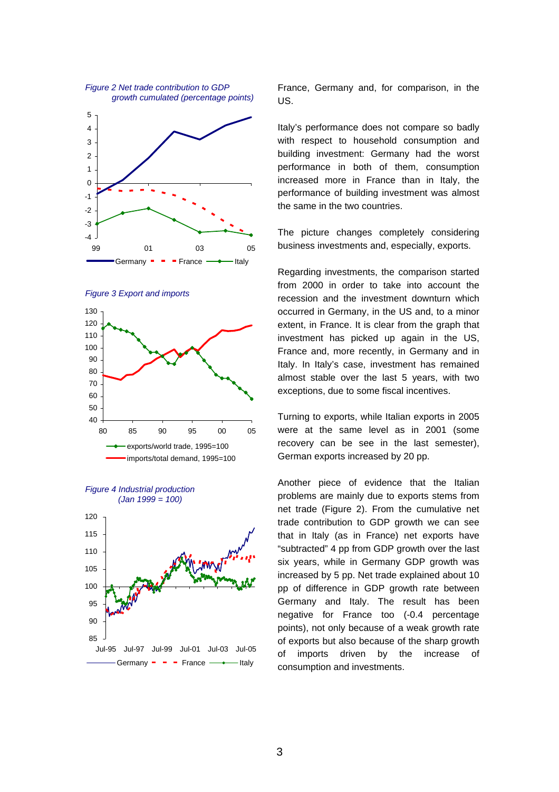









France, Germany and, for comparison, in the US.

Italy's performance does not compare so badly with respect to household consumption and building investment: Germany had the worst performance in both of them, consumption increased more in France than in Italy, the performance of building investment was almost the same in the two countries.

The picture changes completely considering business investments and, especially, exports.

Regarding investments, the comparison started from 2000 in order to take into account the recession and the investment downturn which occurred in Germany, in the US and, to a minor extent, in France. It is clear from the graph that investment has picked up again in the US, France and, more recently, in Germany and in Italy. In Italy's case, investment has remained almost stable over the last 5 years, with two exceptions, due to some fiscal incentives.

Turning to exports, while Italian exports in 2005 were at the same level as in 2001 (some recovery can be see in the last semester), German exports increased by 20 pp.

Another piece of evidence that the Italian problems are mainly due to exports stems from net trade (Figure 2). From the cumulative net trade contribution to GDP growth we can see that in Italy (as in France) net exports have "subtracted" 4 pp from GDP growth over the last six years, while in Germany GDP growth was increased by 5 pp. Net trade explained about 10 pp of difference in GDP growth rate between Germany and Italy. The result has been negative for France too (-0.4 percentage points), not only because of a weak growth rate of exports but also because of the sharp growth of imports driven by the increase of consumption and investments.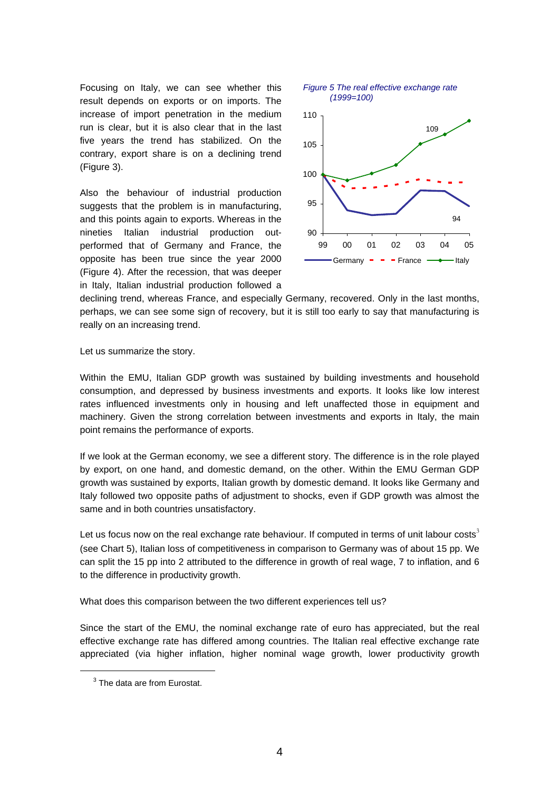Focusing on Italy, we can see whether this result depends on exports or on imports. The increase of import penetration in the medium run is clear, but it is also clear that in the last five years the trend has stabilized. On the contrary, export share is on a declining trend (Figure 3).

Also the behaviour of industrial production suggests that the problem is in manufacturing, and this points again to exports. Whereas in the nineties Italian industrial production outperformed that of Germany and France, the opposite has been true since the year 2000 (Figure 4). After the recession, that was deeper in Italy, Italian industrial production followed a



declining trend, whereas France, and especially Germany, recovered. Only in the last months, perhaps, we can see some sign of recovery, but it is still too early to say that manufacturing is really on an increasing trend.

Let us summarize the story.

Within the EMU, Italian GDP growth was sustained by building investments and household consumption, and depressed by business investments and exports. It looks like low interest rates influenced investments only in housing and left unaffected those in equipment and machinery. Given the strong correlation between investments and exports in Italy, the main point remains the performance of exports.

If we look at the German economy, we see a different story. The difference is in the role played by export, on one hand, and domestic demand, on the other. Within the EMU German GDP growth was sustained by exports, Italian growth by domestic demand. It looks like Germany and Italy followed two opposite paths of adjustment to shocks, even if GDP growth was almost the same and in both countries unsatisfactory.

Let us focus now on the real exchange rate behaviour. If computed in terms of unit labour costs<sup>3</sup> (see Chart 5), Italian loss of competitiveness in comparison to Germany was of about 15 pp. We can split the 15 pp into 2 attributed to the difference in growth of real wage, 7 to inflation, and 6 to the difference in productivity growth.

What does this comparison between the two different experiences tell us?

Since the start of the EMU, the nominal exchange rate of euro has appreciated, but the real effective exchange rate has differed among countries. The Italian real effective exchange rate appreciated (via higher inflation, higher nominal wage growth, lower productivity growth

 $3$  The data are from Eurostat.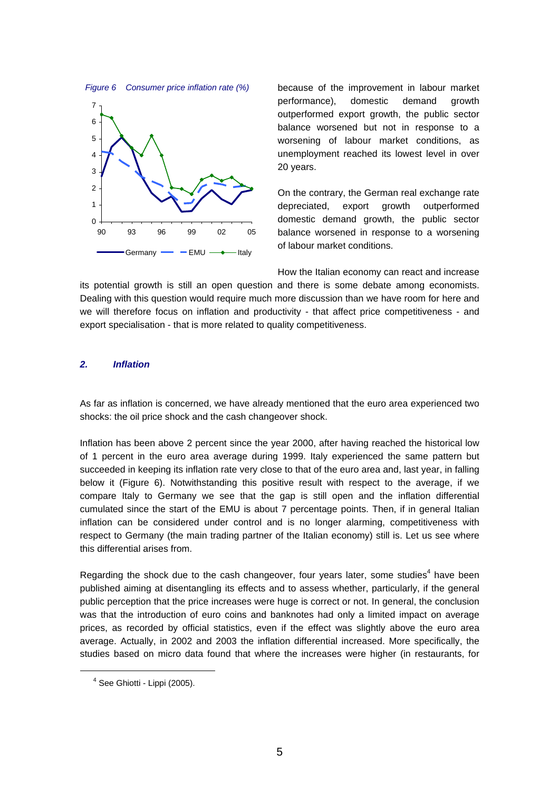



because of the improvement in labour market performance), domestic demand growth outperformed export growth, the public sector balance worsened but not in response to a worsening of labour market conditions, as unemployment reached its lowest level in over 20 years.

On the contrary, the German real exchange rate depreciated, export growth outperformed domestic demand growth, the public sector balance worsened in response to a worsening of labour market conditions.

How the Italian economy can react and increase its potential growth is still an open question and there is some debate among economists. Dealing with this question would require much more discussion than we have room for here and we will therefore focus on inflation and productivity - that affect price competitiveness - and export specialisation - that is more related to quality competitiveness.

## **2. Inflation**

As far as inflation is concerned, we have already mentioned that the euro area experienced two shocks: the oil price shock and the cash changeover shock.

Inflation has been above 2 percent since the year 2000, after having reached the historical low of 1 percent in the euro area average during 1999. Italy experienced the same pattern but succeeded in keeping its inflation rate very close to that of the euro area and, last year, in falling below it (Figure 6). Notwithstanding this positive result with respect to the average, if we compare Italy to Germany we see that the gap is still open and the inflation differential cumulated since the start of the EMU is about 7 percentage points. Then, if in general Italian inflation can be considered under control and is no longer alarming, competitiveness with respect to Germany (the main trading partner of the Italian economy) still is. Let us see where this differential arises from.

Regarding the shock due to the cash changeover, four years later, some studies<sup>4</sup> have been published aiming at disentangling its effects and to assess whether, particularly, if the general public perception that the price increases were huge is correct or not. In general, the conclusion was that the introduction of euro coins and banknotes had only a limited impact on average prices, as recorded by official statistics, even if the effect was slightly above the euro area average. Actually, in 2002 and 2003 the inflation differential increased. More specifically, the studies based on micro data found that where the increases were higher (in restaurants, for

 $<sup>4</sup>$  See Ghiotti - Lippi (2005).</sup>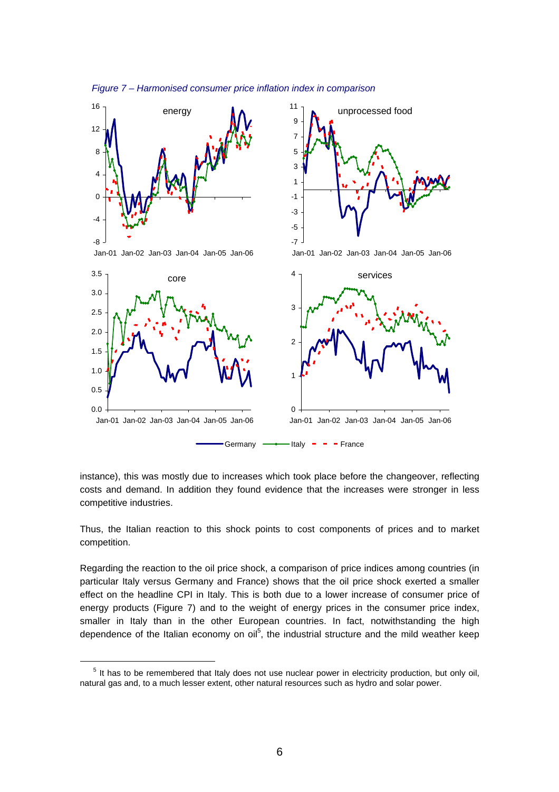

Figure 7 – Harmonised consumer price inflation index in comparison

instance), this was mostly due to increases which took place before the changeover, reflecting costs and demand. In addition they found evidence that the increases were stronger in less competitive industries.

Thus, the Italian reaction to this shock points to cost components of prices and to market competition.

Regarding the reaction to the oil price shock, a comparison of price indices among countries (in particular Italy versus Germany and France) shows that the oil price shock exerted a smaller effect on the headline CPI in Italy. This is both due to a lower increase of consumer price of energy products (Figure 7) and to the weight of energy prices in the consumer price index, smaller in Italy than in the other European countries. In fact, notwithstanding the high dependence of the Italian economy on oil<sup>5</sup>, the industrial structure and the mild weather keep

 $\overline{a}$ 

<sup>&</sup>lt;sup>5</sup> It has to be remembered that Italy does not use nuclear power in electricity production, but only oil, natural gas and, to a much lesser extent, other natural resources such as hydro and solar power.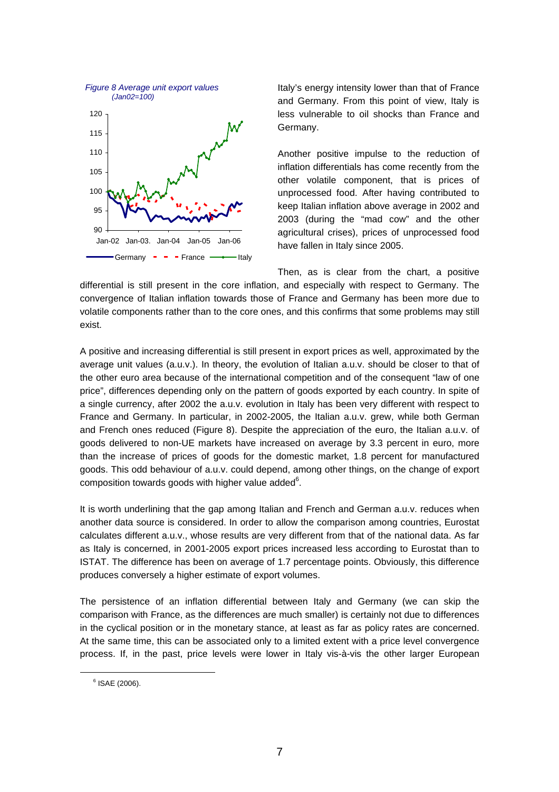

Italy's energy intensity lower than that of France and Germany. From this point of view, Italy is less vulnerable to oil shocks than France and Germany.

Another positive impulse to the reduction of inflation differentials has come recently from the other volatile component, that is prices of unprocessed food. After having contributed to keep Italian inflation above average in 2002 and 2003 (during the "mad cow" and the other agricultural crises), prices of unprocessed food have fallen in Italy since 2005.

Then, as is clear from the chart, a positive differential is still present in the core inflation, and especially with respect to Germany. The convergence of Italian inflation towards those of France and Germany has been more due to volatile components rather than to the core ones, and this confirms that some problems may still exist.

A positive and increasing differential is still present in export prices as well, approximated by the average unit values (a.u.v.). In theory, the evolution of Italian a.u.v. should be closer to that of the other euro area because of the international competition and of the consequent "law of one price", differences depending only on the pattern of goods exported by each country. In spite of a single currency, after 2002 the a.u.v. evolution in Italy has been very different with respect to France and Germany. In particular, in 2002-2005, the Italian a.u.v. grew, while both German and French ones reduced (Figure 8). Despite the appreciation of the euro, the Italian a.u.v. of goods delivered to non-UE markets have increased on average by 3.3 percent in euro, more than the increase of prices of goods for the domestic market, 1.8 percent for manufactured goods. This odd behaviour of a.u.v. could depend, among other things, on the change of export composition towards goods with higher value added $6$ .

It is worth underlining that the gap among Italian and French and German a.u.v. reduces when another data source is considered. In order to allow the comparison among countries, Eurostat calculates different a.u.v., whose results are very different from that of the national data. As far as Italy is concerned, in 2001-2005 export prices increased less according to Eurostat than to ISTAT. The difference has been on average of 1.7 percentage points. Obviously, this difference produces conversely a higher estimate of export volumes.

The persistence of an inflation differential between Italy and Germany (we can skip the comparison with France, as the differences are much smaller) is certainly not due to differences in the cyclical position or in the monetary stance, at least as far as policy rates are concerned. At the same time, this can be associated only to a limited extent with a price level convergence process. If, in the past, price levels were lower in Italy vis-à-vis the other larger European

<sup>6</sup> ISAE (2006).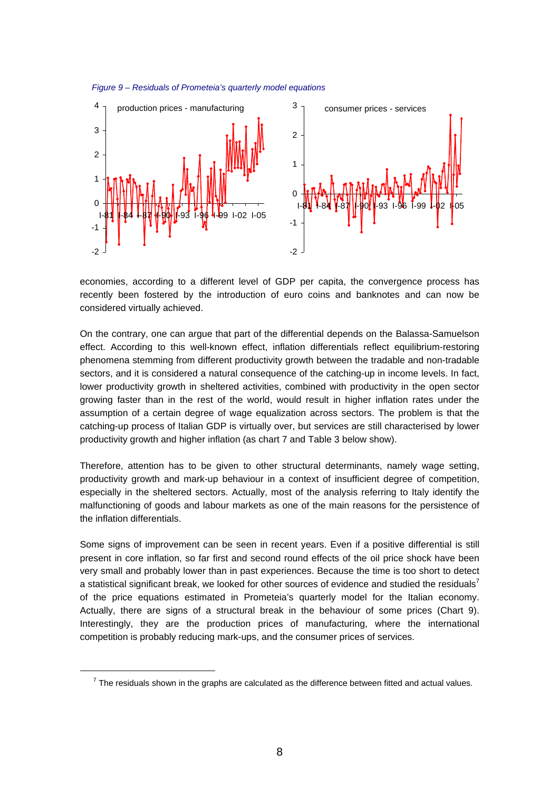



economies, according to a different level of GDP per capita, the convergence process has recently been fostered by the introduction of euro coins and banknotes and can now be considered virtually achieved.

On the contrary, one can argue that part of the differential depends on the Balassa-Samuelson effect. According to this well-known effect, inflation differentials reflect equilibrium-restoring phenomena stemming from different productivity growth between the tradable and non-tradable sectors, and it is considered a natural consequence of the catching-up in income levels. In fact, lower productivity growth in sheltered activities, combined with productivity in the open sector growing faster than in the rest of the world, would result in higher inflation rates under the assumption of a certain degree of wage equalization across sectors. The problem is that the catching-up process of Italian GDP is virtually over, but services are still characterised by lower productivity growth and higher inflation (as chart 7 and Table 3 below show).

Therefore, attention has to be given to other structural determinants, namely wage setting, productivity growth and mark-up behaviour in a context of insufficient degree of competition, especially in the sheltered sectors. Actually, most of the analysis referring to Italy identify the malfunctioning of goods and labour markets as one of the main reasons for the persistence of the inflation differentials.

Some signs of improvement can be seen in recent years. Even if a positive differential is still present in core inflation, so far first and second round effects of the oil price shock have been very small and probably lower than in past experiences. Because the time is too short to detect a statistical significant break, we looked for other sources of evidence and studied the residuals<sup>7</sup> of the price equations estimated in Prometeia's quarterly model for the Italian economy. Actually, there are signs of a structural break in the behaviour of some prices (Chart 9). Interestingly, they are the production prices of manufacturing, where the international competition is probably reducing mark-ups, and the consumer prices of services.

 $7$  The residuals shown in the graphs are calculated as the difference between fitted and actual values.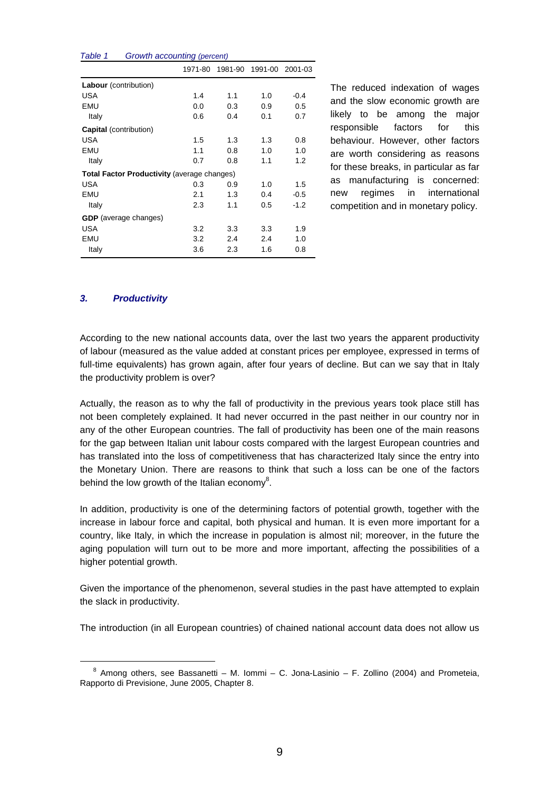| i avit i                      | <i>Croward accounting (percent)</i>                |         |         |     |                 |
|-------------------------------|----------------------------------------------------|---------|---------|-----|-----------------|
|                               |                                                    | 1971-80 | 1981-90 |     | 1991-00 2001-03 |
| Labour (contribution)         |                                                    |         |         |     |                 |
| USA                           |                                                    | 1.4     | 1.1     | 1.0 | $-0.4$          |
| EMU                           |                                                    | 0.0     | 0.3     | 0.9 | 0.5             |
| Italy                         |                                                    | 0.6     | 0.4     | 0.1 | 0.7             |
| <b>Capital</b> (contribution) |                                                    |         |         |     |                 |
| USA                           |                                                    | 1.5     | 1.3     | 1.3 | 0.8             |
| EMU                           |                                                    | 1.1     | 0.8     | 1.0 | 1.0             |
| Italy                         |                                                    | 0.7     | 0.8     | 1.1 | 1.2             |
|                               | <b>Total Factor Productivity (average changes)</b> |         |         |     |                 |
| USA                           |                                                    | 0.3     | 0.9     | 1.0 | 1.5             |
| EMU                           |                                                    | 2.1     | 1.3     | 0.4 | $-0.5$          |
| Italy                         |                                                    | 2.3     | 1.1     | 0.5 | $-1.2$          |
|                               | <b>GDP</b> (average changes)                       |         |         |     |                 |
| USA                           |                                                    | 3.2     | 3.3     | 3.3 | 1.9             |
| EMU                           |                                                    | 3.2     | 2.4     | 2.4 | 1.0             |
| Italy                         |                                                    | 3.6     | 2.3     | 1.6 | 0.8             |
|                               |                                                    |         |         |     |                 |

Table 1 Growth accounting (percent)

The reduced indexation of wages and the slow economic growth are likely to be among the major responsible factors for this behaviour. However, other factors are worth considering as reasons for these breaks, in particular as far as manufacturing is concerned: new regimes in international competition and in monetary policy.

# **3. Productivity**

 $\overline{a}$ 

According to the new national accounts data, over the last two years the apparent productivity of labour (measured as the value added at constant prices per employee, expressed in terms of full-time equivalents) has grown again, after four years of decline. But can we say that in Italy the productivity problem is over?

Actually, the reason as to why the fall of productivity in the previous years took place still has not been completely explained. It had never occurred in the past neither in our country nor in any of the other European countries. The fall of productivity has been one of the main reasons for the gap between Italian unit labour costs compared with the largest European countries and has translated into the loss of competitiveness that has characterized Italy since the entry into the Monetary Union. There are reasons to think that such a loss can be one of the factors behind the low growth of the Italian economy<sup>8</sup>.

In addition, productivity is one of the determining factors of potential growth, together with the increase in labour force and capital, both physical and human. It is even more important for a country, like Italy, in which the increase in population is almost nil; moreover, in the future the aging population will turn out to be more and more important, affecting the possibilities of a higher potential growth.

Given the importance of the phenomenon, several studies in the past have attempted to explain the slack in productivity.

The introduction (in all European countries) of chained national account data does not allow us

 $8$  Among others, see Bassanetti – M. Iommi – C. Jona-Lasinio – F. Zollino (2004) and Prometeia, Rapporto di Previsione, June 2005, Chapter 8.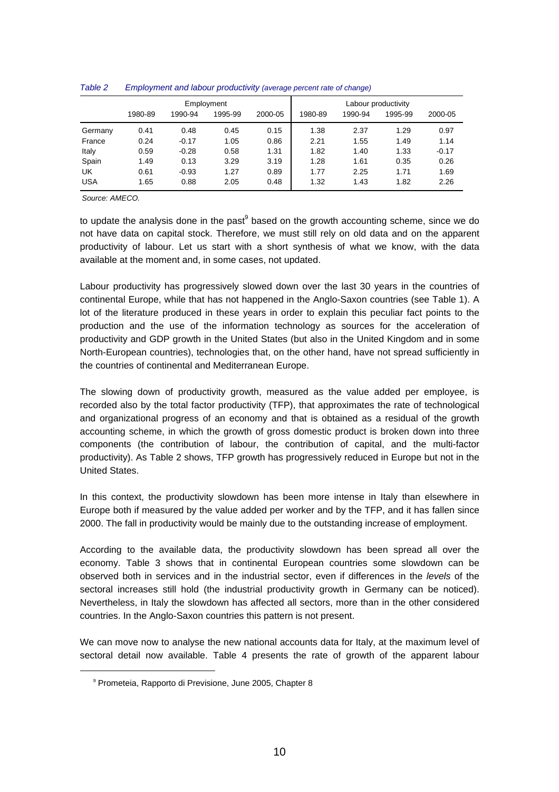|            |         |         | Employment |         | Labour productivity |         |         |         |  |
|------------|---------|---------|------------|---------|---------------------|---------|---------|---------|--|
|            | 1980-89 | 1990-94 | 1995-99    | 2000-05 | 1980-89             | 1990-94 | 1995-99 | 2000-05 |  |
| Germany    | 0.41    | 0.48    | 0.45       | 0.15    | 1.38                | 2.37    | 1.29    | 0.97    |  |
| France     | 0.24    | $-0.17$ | 1.05       | 0.86    | 2.21                | 1.55    | 1.49    | 1.14    |  |
| Italy      | 0.59    | $-0.28$ | 0.58       | 1.31    | 1.82                | 1.40    | 1.33    | $-0.17$ |  |
| Spain      | 1.49    | 0.13    | 3.29       | 3.19    | 1.28                | 1.61    | 0.35    | 0.26    |  |
| UK         | 0.61    | $-0.93$ | 1.27       | 0.89    | 1.77                | 2.25    | 1.71    | 1.69    |  |
| <b>USA</b> | 1.65    | 0.88    | 2.05       | 0.48    | 1.32                | 1.43    | 1.82    | 2.26    |  |

#### Table 2 Employment and labour productivity (average percent rate of change)

Source: AMECO.

to update the analysis done in the past<sup>9</sup> based on the growth accounting scheme, since we do not have data on capital stock. Therefore, we must still rely on old data and on the apparent productivity of labour. Let us start with a short synthesis of what we know, with the data available at the moment and, in some cases, not updated.

Labour productivity has progressively slowed down over the last 30 years in the countries of continental Europe, while that has not happened in the Anglo-Saxon countries (see Table 1). A lot of the literature produced in these years in order to explain this peculiar fact points to the production and the use of the information technology as sources for the acceleration of productivity and GDP growth in the United States (but also in the United Kingdom and in some North-European countries), technologies that, on the other hand, have not spread sufficiently in the countries of continental and Mediterranean Europe.

The slowing down of productivity growth, measured as the value added per employee, is recorded also by the total factor productivity (TFP), that approximates the rate of technological and organizational progress of an economy and that is obtained as a residual of the growth accounting scheme, in which the growth of gross domestic product is broken down into three components (the contribution of labour, the contribution of capital, and the multi-factor productivity). As Table 2 shows, TFP growth has progressively reduced in Europe but not in the United States.

In this context, the productivity slowdown has been more intense in Italy than elsewhere in Europe both if measured by the value added per worker and by the TFP, and it has fallen since 2000. The fall in productivity would be mainly due to the outstanding increase of employment.

According to the available data, the productivity slowdown has been spread all over the economy. Table 3 shows that in continental European countries some slowdown can be observed both in services and in the industrial sector, even if differences in the levels of the sectoral increases still hold (the industrial productivity growth in Germany can be noticed). Nevertheless, in Italy the slowdown has affected all sectors, more than in the other considered countries. In the Anglo-Saxon countries this pattern is not present.

We can move now to analyse the new national accounts data for Italy, at the maximum level of sectoral detail now available. Table 4 presents the rate of growth of the apparent labour

<sup>&</sup>lt;sup>9</sup> Prometeia, Rapporto di Previsione, June 2005, Chapter 8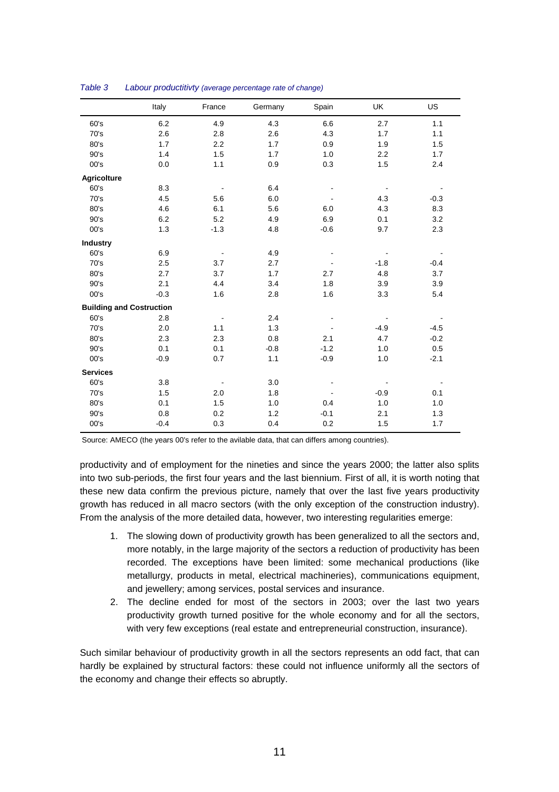|                                 | Italy  | France | Germany | Spain  | UK     | US     |
|---------------------------------|--------|--------|---------|--------|--------|--------|
| 60's                            | 6.2    | 4.9    | 4.3     | 6.6    | 2.7    | 1.1    |
| 70's                            | 2.6    | 2.8    | 2.6     | 4.3    | 1.7    | 1.1    |
| 80's                            | 1.7    | 2.2    | 1.7     | 0.9    | 1.9    | 1.5    |
| 90's                            | 1.4    | 1.5    | 1.7     | 1.0    | 2.2    | 1.7    |
| 00's                            | 0.0    | 1.1    | 0.9     | 0.3    | 1.5    | 2.4    |
| Agricolture                     |        |        |         |        |        |        |
| 60's                            | 8.3    |        | 6.4     |        |        |        |
| 70's                            | 4.5    | 5.6    | 6.0     |        | 4.3    | $-0.3$ |
| 80's                            | 4.6    | 6.1    | 5.6     | 6.0    | 4.3    | 8.3    |
| 90's                            | 6.2    | 5.2    | 4.9     | 6.9    | 0.1    | 3.2    |
| 00's                            | 1.3    | $-1.3$ | 4.8     | $-0.6$ | 9.7    | 2.3    |
| <b>Industry</b>                 |        |        |         |        |        |        |
| 60's                            | 6.9    |        | 4.9     |        |        |        |
| 70's                            | 2.5    | 3.7    | 2.7     |        | $-1.8$ | $-0.4$ |
| 80's                            | 2.7    | 3.7    | 1.7     | 2.7    | 4.8    | 3.7    |
| 90's                            | 2.1    | 4.4    | 3.4     | 1.8    | 3.9    | 3.9    |
| 00's                            | $-0.3$ | 1.6    | 2.8     | 1.6    | 3.3    | 5.4    |
| <b>Building and Costruction</b> |        |        |         |        |        |        |
| 60's                            | 2.8    |        | 2.4     |        |        |        |
| 70's                            | 2.0    | 1.1    | 1.3     |        | $-4.9$ | $-4.5$ |
| 80's                            | 2.3    | 2.3    | 0.8     | 2.1    | 4.7    | $-0.2$ |
| 90's                            | 0.1    | 0.1    | $-0.8$  | $-1.2$ | 1.0    | 0.5    |
| 00's                            | $-0.9$ | 0.7    | 1.1     | $-0.9$ | 1.0    | $-2.1$ |
| <b>Services</b>                 |        |        |         |        |        |        |
| 60's                            | 3.8    |        | 3.0     |        |        |        |
| 70's                            | 1.5    | 2.0    | 1.8     |        | $-0.9$ | 0.1    |
| 80's                            | 0.1    | 1.5    | 1.0     | 0.4    | 1.0    | 1.0    |
| 90's                            | 0.8    | 0.2    | 1.2     | $-0.1$ | 2.1    | 1.3    |
| 00's                            | $-0.4$ | 0.3    | 0.4     | 0.2    | 1.5    | 1.7    |

| Table 3 | Labour productitivty (average percentage rate of change) |  |
|---------|----------------------------------------------------------|--|
|         |                                                          |  |

Source: AMECO (the years 00's refer to the avilable data, that can differs among countries).

productivity and of employment for the nineties and since the years 2000; the latter also splits into two sub-periods, the first four years and the last biennium. First of all, it is worth noting that these new data confirm the previous picture, namely that over the last five years productivity growth has reduced in all macro sectors (with the only exception of the construction industry). From the analysis of the more detailed data, however, two interesting regularities emerge:

- 1. The slowing down of productivity growth has been generalized to all the sectors and, more notably, in the large majority of the sectors a reduction of productivity has been recorded. The exceptions have been limited: some mechanical productions (like metallurgy, products in metal, electrical machineries), communications equipment, and jewellery; among services, postal services and insurance.
- 2. The decline ended for most of the sectors in 2003; over the last two years productivity growth turned positive for the whole economy and for all the sectors, with very few exceptions (real estate and entrepreneurial construction, insurance).

Such similar behaviour of productivity growth in all the sectors represents an odd fact, that can hardly be explained by structural factors: these could not influence uniformly all the sectors of the economy and change their effects so abruptly.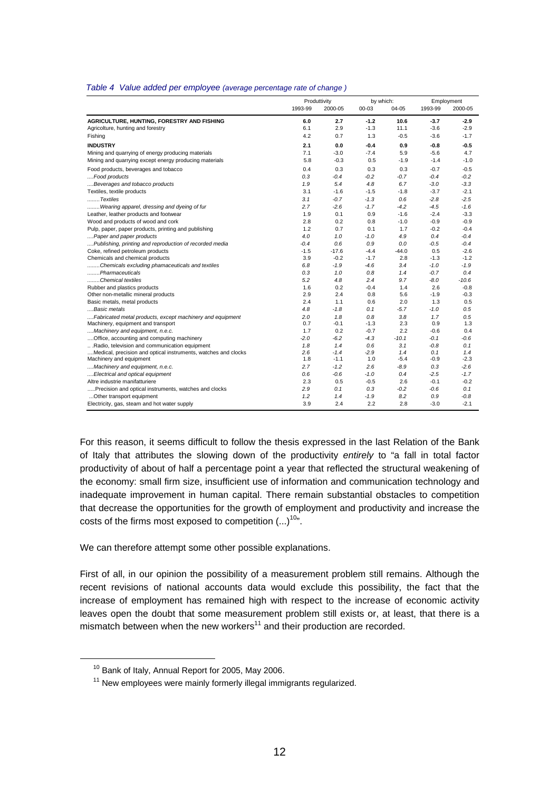|  |  |  | Table 4 Value added per employee (average percentage rate of change) |  |
|--|--|--|----------------------------------------------------------------------|--|
|--|--|--|----------------------------------------------------------------------|--|

|                                                                                                                 | Produttivity |               |               | by which:  |               | Employment |  |
|-----------------------------------------------------------------------------------------------------------------|--------------|---------------|---------------|------------|---------------|------------|--|
|                                                                                                                 | 1993-99      | 2000-05       | 00-03         | 04-05      | 1993-99       | 2000-05    |  |
| AGRICULTURE, HUNTING, FORESTRY AND FISHING                                                                      | 6.0          | 2.7           | $-1.2$        | 10.6       | $-3.7$        | $-2.9$     |  |
| Agricolture, hunting and forestry                                                                               | 6.1          | 2.9           | $-1.3$        | 11.1       | $-3.6$        | $-2.9$     |  |
| Fishing                                                                                                         | 4.2          | 0.7           | 1.3           | $-0.5$     | $-3.6$        | $-1.7$     |  |
| <b>INDUSTRY</b>                                                                                                 | 2.1          | 0.0           | $-0.4$        | 0.9        | -0.8          | -0.5       |  |
| Mining and quarrying of energy producing materials                                                              | 7.1          | $-3.0$        | $-7.4$        | 5.9        | $-5.6$        | 4.7        |  |
| Mining and quarrying except energy producing materials                                                          | 5.8          | $-0.3$        | 0.5           | $-1.9$     | $-1.4$        | $-1.0$     |  |
| Food products, beverages and tobacco                                                                            | 0.4          | 0.3           | 0.3           | 0.3        | $-0.7$        | $-0.5$     |  |
| Food products                                                                                                   | 0.3          | $-0.4$        | $-0.2$        | $-0.7$     | $-0.4$        | $-0.2$     |  |
| Beverages and tobacco products                                                                                  | 1.9          | 5.4           | 4.8           | 6.7        | $-3.0$        | $-3.3$     |  |
| Textiles, textile products                                                                                      | 3.1          | $-1.6$        | $-1.5$        | $-1.8$     | $-3.7$        | $-2.1$     |  |
| Textiles                                                                                                        | 3.1          | $-0.7$        | $-1.3$        | 0.6        | $-2.8$        | $-2.5$     |  |
| Wearing apparel, dressing and dyeing of fur                                                                     | 2.7          | $-2.6$        | $-1.7$        | $-4.2$     | $-4.5$        | $-1.6$     |  |
| Leather, leather products and footwear                                                                          | 1.9          | 0.1           | 0.9           | $-1.6$     | $-2.4$        | $-3.3$     |  |
| Wood and products of wood and cork                                                                              | 2.8          | 0.2           | 0.8           | $-1.0$     | $-0.9$        | $-0.9$     |  |
| Pulp, paper, paper products, printing and publishing                                                            | 1.2          | 0.7           | 0.1           | 1.7        | $-0.2$        | $-0.4$     |  |
| Paper and paper products                                                                                        | 4.0          | 1.0           | $-1.0$        | 4.9        | 0.4           | $-0.4$     |  |
| Publishing, printing and reproduction of recorded media                                                         | $-0.4$       | 0.6           | 0.9           | 0.0        | -0.5          | $-0.4$     |  |
| Coke, refined petroleum products                                                                                | $-1.5$       | $-17.6$       | $-4.4$        | $-44.0$    | 0.5           | $-2.6$     |  |
| Chemicals and chemical products                                                                                 | 3.9          | $-0.2$        | $-1.7$        | 2.8        | $-1.3$        | $-1.2$     |  |
| Chemicals excluding phamaceuticals and textiles                                                                 | 6.8          | $-1.9$        | -4.6          | 3.4        | $-1.0$        | $-1.9$     |  |
| Pharmaceuticals                                                                                                 | 0.3          | 1.0           | 0.8           | 1.4        | $-0.7$        | 0.4        |  |
| Chemical textiles                                                                                               | 5.2          | 4.8           | 2.4           | 9.7        | $-8.0$        | $-10.6$    |  |
| Rubber and plastics products                                                                                    | 1.6          | 0.2           | $-0.4$        | 1.4        | 2.6           | $-0.8$     |  |
| Other non-metallic mineral products                                                                             | 2.9          | 2.4           | 0.8           | 5.6        | $-1.9$        | -0.3       |  |
| Basic metals, metal products                                                                                    | 2.4          | 1.1           | 0.6           | 2.0        | 1.3           | 0.5        |  |
| Basic metals                                                                                                    | 4.8          | $-1.8$        | 0.1           | $-5.7$     | $-1.0$        | 0.5        |  |
| Fabricated metal products, except machinery and equipment                                                       | 2.0          | 1.8           | 0.8           | 3.8        | 1.7           | 0.5        |  |
| Machinery, equipment and transport                                                                              | 0.7          | $-0.1$        | $-1.3$        | 2.3        | 0.9           | 1.3        |  |
| Machinery and equipment, n.e.c.                                                                                 | 1.7          | 0.2           | $-0.7$        | 2.2        | $-0.6$        | 0.4        |  |
| Office, accounting and computing machinery                                                                      | $-2.0$       | $-6.2$        | $-4.3$        | $-10.1$    | $-0.1$        | $-0.6$     |  |
| Radio, television and communication equipment<br>Medical, precision and optical instruments, watches and clocks | 1.8<br>2.6   | 1.4<br>$-1.4$ | 0.6<br>$-2.9$ | 3.1<br>1.4 | $-0.8$<br>0.1 | 0.1<br>1.4 |  |
| Machinery and equipment                                                                                         | 1.8          | $-1.1$        | 1.0           | $-5.4$     | $-0.9$        | $-2.3$     |  |
| Machinery and equipment, n.e.c.                                                                                 | 2.7          | $-1.2$        | 2.6           | $-8.9$     | 0.3           | $-2.6$     |  |
| Electrical and optical equipment                                                                                | 0.6          | $-0.6$        | $-1.0$        | 0.4        | $-2.5$        | $-1.7$     |  |
| Altre industrie manifatturiere                                                                                  | 2.3          | 0.5           | $-0.5$        | 2.6        | $-0.1$        | $-0.2$     |  |
| Precision and optical instruments, watches and clocks                                                           | 2.9          | 0.1           | 0.3           | $-0.2$     | $-0.6$        | 0.1        |  |
| Other transport equipment                                                                                       | 1.2          | 1.4           | -1.9          | 8.2        | 0.9           | -0.8       |  |
| Electricity, gas, steam and hot water supply                                                                    | 3.9          | 2.4           | 2.2           | 2.8        | $-3.0$        | $-2.1$     |  |
|                                                                                                                 |              |               |               |            |               |            |  |

For this reason, it seems difficult to follow the thesis expressed in the last Relation of the Bank of Italy that attributes the slowing down of the productivity entirely to "a fall in total factor productivity of about of half a percentage point a year that reflected the structural weakening of the economy: small firm size, insufficient use of information and communication technology and inadequate improvement in human capital. There remain substantial obstacles to competition that decrease the opportunities for the growth of employment and productivity and increase the costs of the firms most exposed to competition  $(...)^{10}$ .

We can therefore attempt some other possible explanations.

First of all, in our opinion the possibility of a measurement problem still remains. Although the recent revisions of national accounts data would exclude this possibility, the fact that the increase of employment has remained high with respect to the increase of economic activity leaves open the doubt that some measurement problem still exists or, at least, that there is a mismatch between when the new workers<sup>11</sup> and their production are recorded.

 $\overline{a}$ 

<sup>&</sup>lt;sup>10</sup> Bank of Italy, Annual Report for 2005, May 2006.

 $11$  New employees were mainly formerly illegal immigrants regularized.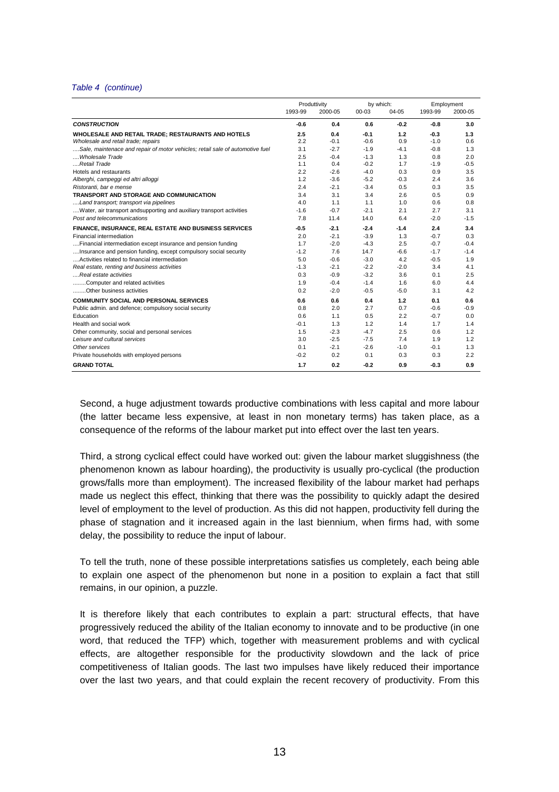#### Table 4 (continue)

|                                                                               |         | Produttivity |        | by which: |         | Employment |
|-------------------------------------------------------------------------------|---------|--------------|--------|-----------|---------|------------|
|                                                                               | 1993-99 | 2000-05      | 00-03  | 04-05     | 1993-99 | 2000-05    |
| <b>CONSTRUCTION</b>                                                           | $-0.6$  | 0.4          | 0.6    | $-0.2$    | $-0.8$  | 3.0        |
| WHOLESALE AND RETAIL TRADE; RESTAURANTS AND HOTELS                            | 2.5     | 0.4          | $-0.1$ | 1.2       | $-0.3$  | 1.3        |
| Wholesale and retail trade; repairs                                           | 2.2     | $-0.1$       | $-0.6$ | 0.9       | $-1.0$  | 0.6        |
| Sale, maintenace and repair of motor vehicles; retail sale of automotive fuel | 3.1     | $-2.7$       | $-1.9$ | $-4.1$    | $-0.8$  | 1.3        |
| Wholesale Trade                                                               | 2.5     | $-0.4$       | $-1.3$ | 1.3       | 0.8     | 2.0        |
| Retail Trade                                                                  | 1.1     | 0.4          | $-0.2$ | 1.7       | $-1.9$  | $-0.5$     |
| Hotels and restaurants                                                        | 2.2     | $-2.6$       | $-4.0$ | 0.3       | 0.9     | 3.5        |
| Alberghi, campeggi ed altri alloggi                                           | 1.2     | $-3.6$       | $-5.2$ | $-0.3$    | 2.4     | 3.6        |
| Ristoranti, bar e mense                                                       | 2.4     | $-2.1$       | $-3.4$ | 0.5       | 0.3     | 3.5        |
| <b>TRANSPORT AND STORAGE AND COMMUNICATION</b>                                | 3.4     | 3.1          | 3.4    | 2.6       | 0.5     | 0.9        |
| Land transport; transport via pipelines                                       | 4.0     | 1.1          | 1.1    | 1.0       | 0.6     | 0.8        |
| Water, air transport andsupporting and auxiliary transport activities         | $-1.6$  | $-0.7$       | $-2.1$ | 2.1       | 2.7     | 3.1        |
| Post and telecommunications                                                   | 7.8     | 11.4         | 14.0   | 6.4       | $-2.0$  | $-1.5$     |
| FINANCE, INSURANCE, REAL ESTATE AND BUSINESS SERVICES                         | $-0.5$  | $-2.1$       | $-2.4$ | $-1.4$    | 2.4     | 3.4        |
| <b>Financial intermediation</b>                                               | 2.0     | $-2.1$       | $-3.9$ | 1.3       | $-0.7$  | 0.3        |
| Financial intermediation except insurance and pension funding                 | 1.7     | $-2.0$       | $-4.3$ | 2.5       | $-0.7$  | $-0.4$     |
| Insurance and pension funding, except compulsory social security              | $-1.2$  | 7.6          | 14.7   | $-6.6$    | $-1.7$  | $-1.4$     |
| Activities related to financial intermediation                                | 5.0     | $-0.6$       | $-3.0$ | 4.2       | $-0.5$  | 1.9        |
| Real estate, renting and business activities                                  | $-1.3$  | $-2.1$       | $-2.2$ | $-2.0$    | 3.4     | 4.1        |
| Real estate activities                                                        | 0.3     | $-0.9$       | $-3.2$ | 3.6       | 0.1     | 2.5        |
| Computer and related activities                                               | 1.9     | $-0.4$       | $-1.4$ | 1.6       | 6.0     | 4.4        |
| Other business activities                                                     | 0.2     | $-2.0$       | $-0.5$ | $-5.0$    | 3.1     | 4.2        |
| <b>COMMUNITY SOCIAL AND PERSONAL SERVICES</b>                                 | 0.6     | 0.6          | 0.4    | 1.2       | 0.1     | 0.6        |
| Public admin. and defence; compulsory social security                         | 0.8     | 2.0          | 2.7    | 0.7       | $-0.6$  | $-0.9$     |
| Education                                                                     | 0.6     | 1.1          | 0.5    | 2.2       | $-0.7$  | 0.0        |
| Health and social work                                                        | $-0.1$  | 1.3          | 1.2    | 1.4       | 1.7     | 1.4        |
| Other community, social and personal services                                 | 1.5     | $-2.3$       | $-4.7$ | 2.5       | 0.6     | 1.2        |
| Leisure and cultural services                                                 | 3.0     | $-2.5$       | $-7.5$ | 7.4       | 1.9     | 1.2        |
| Other services                                                                | 0.1     | $-2.1$       | $-2.6$ | $-1.0$    | $-0.1$  | 1.3        |
| Private households with employed persons                                      | $-0.2$  | 0.2          | 0.1    | 0.3       | 0.3     | 2.2        |
| <b>GRAND TOTAL</b>                                                            | 1.7     | 0.2          | $-0.2$ | 0.9       | $-0.3$  | 0.9        |

Second, a huge adjustment towards productive combinations with less capital and more labour (the latter became less expensive, at least in non monetary terms) has taken place, as a consequence of the reforms of the labour market put into effect over the last ten years.

Third, a strong cyclical effect could have worked out: given the labour market sluggishness (the phenomenon known as labour hoarding), the productivity is usually pro-cyclical (the production grows/falls more than employment). The increased flexibility of the labour market had perhaps made us neglect this effect, thinking that there was the possibility to quickly adapt the desired level of employment to the level of production. As this did not happen, productivity fell during the phase of stagnation and it increased again in the last biennium, when firms had, with some delay, the possibility to reduce the input of labour.

To tell the truth, none of these possible interpretations satisfies us completely, each being able to explain one aspect of the phenomenon but none in a position to explain a fact that still remains, in our opinion, a puzzle.

It is therefore likely that each contributes to explain a part: structural effects, that have progressively reduced the ability of the Italian economy to innovate and to be productive (in one word, that reduced the TFP) which, together with measurement problems and with cyclical effects, are altogether responsible for the productivity slowdown and the lack of price competitiveness of Italian goods. The last two impulses have likely reduced their importance over the last two years, and that could explain the recent recovery of productivity. From this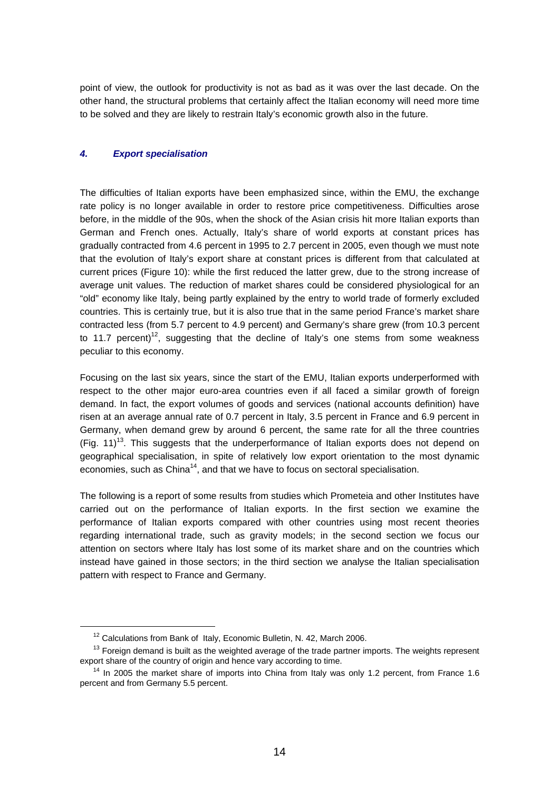point of view, the outlook for productivity is not as bad as it was over the last decade. On the other hand, the structural problems that certainly affect the Italian economy will need more time to be solved and they are likely to restrain Italy's economic growth also in the future.

# **4. Export specialisation**

The difficulties of Italian exports have been emphasized since, within the EMU, the exchange rate policy is no longer available in order to restore price competitiveness. Difficulties arose before, in the middle of the 90s, when the shock of the Asian crisis hit more Italian exports than German and French ones. Actually, Italy's share of world exports at constant prices has gradually contracted from 4.6 percent in 1995 to 2.7 percent in 2005, even though we must note that the evolution of Italy's export share at constant prices is different from that calculated at current prices (Figure 10): while the first reduced the latter grew, due to the strong increase of average unit values. The reduction of market shares could be considered physiological for an "old" economy like Italy, being partly explained by the entry to world trade of formerly excluded countries. This is certainly true, but it is also true that in the same period France's market share contracted less (from 5.7 percent to 4.9 percent) and Germany's share grew (from 10.3 percent to 11.7 percent)<sup>12</sup>, suggesting that the decline of Italy's one stems from some weakness peculiar to this economy.

Focusing on the last six years, since the start of the EMU, Italian exports underperformed with respect to the other major euro-area countries even if all faced a similar growth of foreign demand. In fact, the export volumes of goods and services (national accounts definition) have risen at an average annual rate of 0.7 percent in Italy, 3.5 percent in France and 6.9 percent in Germany, when demand grew by around 6 percent, the same rate for all the three countries  $(Fiq. 11)<sup>13</sup>$ . This suggests that the underperformance of Italian exports does not depend on geographical specialisation, in spite of relatively low export orientation to the most dynamic economies, such as China<sup>14</sup>, and that we have to focus on sectoral specialisation.

The following is a report of some results from studies which Prometeia and other Institutes have carried out on the performance of Italian exports. In the first section we examine the performance of Italian exports compared with other countries using most recent theories regarding international trade, such as gravity models; in the second section we focus our attention on sectors where Italy has lost some of its market share and on the countries which instead have gained in those sectors; in the third section we analyse the Italian specialisation pattern with respect to France and Germany.

 $\overline{a}$ 

<sup>&</sup>lt;sup>12</sup> Calculations from Bank of Italy, Economic Bulletin, N. 42, March 2006.

 $13$  Foreign demand is built as the weighted average of the trade partner imports. The weights represent export share of the country of origin and hence vary according to time.

<sup>&</sup>lt;sup>14</sup> In 2005 the market share of imports into China from Italy was only 1.2 percent, from France 1.6 percent and from Germany 5.5 percent.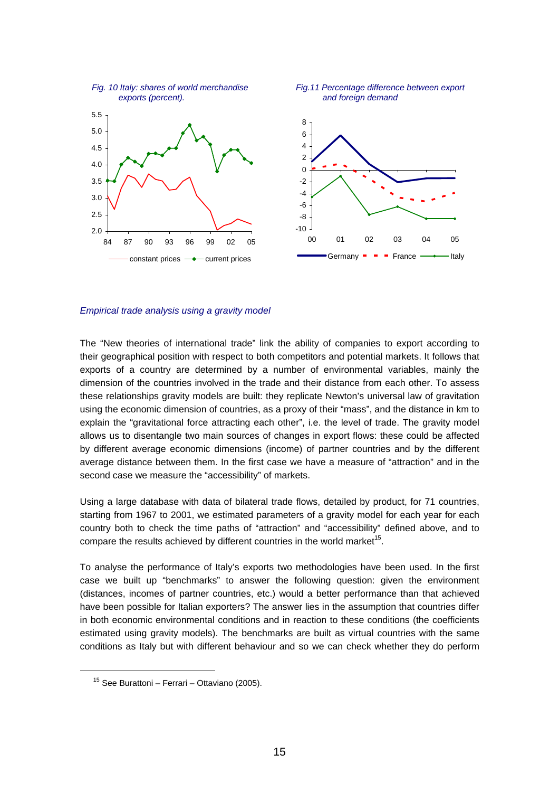

Empirical trade analysis using a gravity model

The "New theories of international trade" link the ability of companies to export according to their geographical position with respect to both competitors and potential markets. It follows that exports of a country are determined by a number of environmental variables, mainly the dimension of the countries involved in the trade and their distance from each other. To assess these relationships gravity models are built: they replicate Newton's universal law of gravitation using the economic dimension of countries, as a proxy of their "mass", and the distance in km to explain the "gravitational force attracting each other", i.e. the level of trade. The gravity model allows us to disentangle two main sources of changes in export flows: these could be affected by different average economic dimensions (income) of partner countries and by the different average distance between them. In the first case we have a measure of "attraction" and in the second case we measure the "accessibility" of markets.

Using a large database with data of bilateral trade flows, detailed by product, for 71 countries, starting from 1967 to 2001, we estimated parameters of a gravity model for each year for each country both to check the time paths of "attraction" and "accessibility" defined above, and to compare the results achieved by different countries in the world market<sup>15</sup>.

To analyse the performance of Italy's exports two methodologies have been used. In the first case we built up "benchmarks" to answer the following question: given the environment (distances, incomes of partner countries, etc.) would a better performance than that achieved have been possible for Italian exporters? The answer lies in the assumption that countries differ in both economic environmental conditions and in reaction to these conditions (the coefficients estimated using gravity models). The benchmarks are built as virtual countries with the same conditions as Italy but with different behaviour and so we can check whether they do perform

<sup>15</sup> See Burattoni – Ferrari – Ottaviano (2005).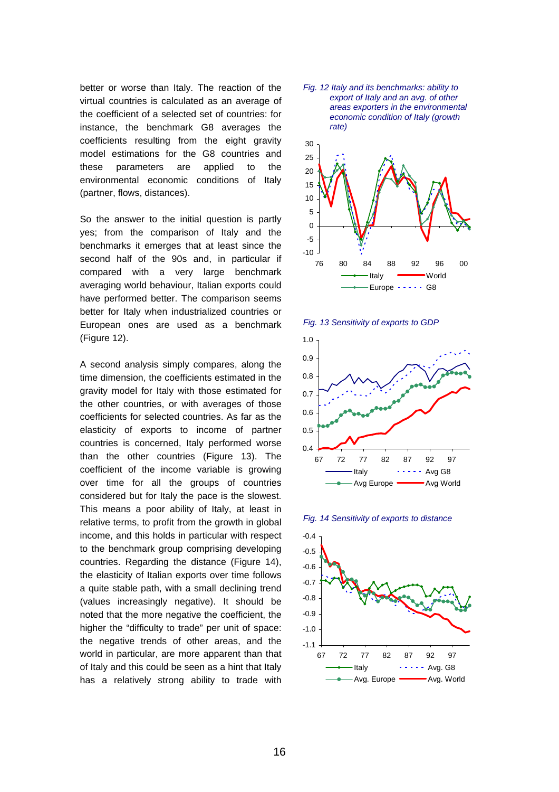better or worse than Italy. The reaction of the virtual countries is calculated as an average of the coefficient of a selected set of countries: for instance, the benchmark G8 averages the coefficients resulting from the eight gravity model estimations for the G8 countries and these parameters are applied to the environmental economic conditions of Italy (partner, flows, distances).

So the answer to the initial question is partly yes; from the comparison of Italy and the benchmarks it emerges that at least since the second half of the 90s and, in particular if compared with a very large benchmark averaging world behaviour, Italian exports could have performed better. The comparison seems better for Italy when industrialized countries or European ones are used as a benchmark (Figure 12).

A second analysis simply compares, along the time dimension, the coefficients estimated in the gravity model for Italy with those estimated for the other countries, or with averages of those coefficients for selected countries. As far as the elasticity of exports to income of partner countries is concerned, Italy performed worse than the other countries (Figure 13). The coefficient of the income variable is growing over time for all the groups of countries considered but for Italy the pace is the slowest. This means a poor ability of Italy, at least in relative terms, to profit from the growth in global income, and this holds in particular with respect to the benchmark group comprising developing countries. Regarding the distance (Figure 14), the elasticity of Italian exports over time follows a quite stable path, with a small declining trend (values increasingly negative). It should be noted that the more negative the coefficient, the higher the "difficulty to trade" per unit of space: the negative trends of other areas, and the world in particular, are more apparent than that of Italy and this could be seen as a hint that Italy has a relatively strong ability to trade with











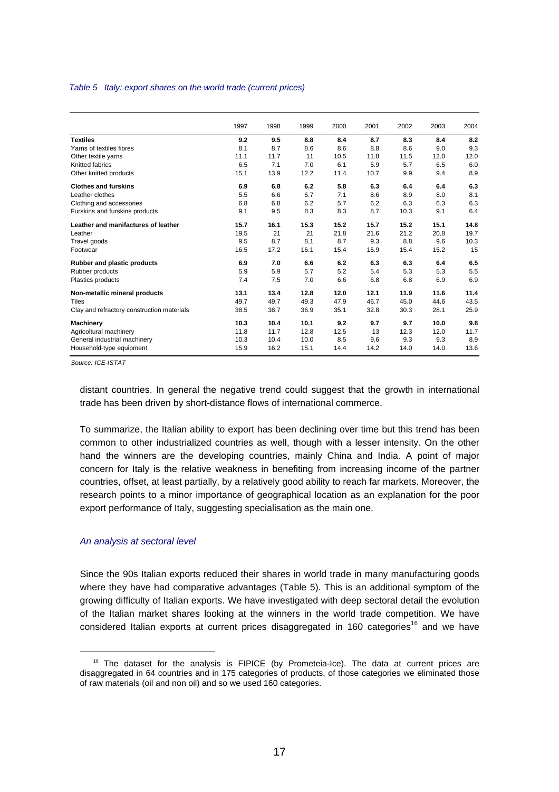#### Table 5 Italy: export shares on the world trade (current prices)

|                                            | 1997 | 1998 | 1999 | 2000 | 2001 | 2002 | 2003 | 2004 |
|--------------------------------------------|------|------|------|------|------|------|------|------|
| <b>Textiles</b>                            | 9.2  | 9.5  | 8.8  | 8.4  | 8.7  | 8.3  | 8.4  | 8.2  |
| Yarns of textiles fibres                   | 8.1  | 8.7  | 8.6  | 8.6  | 8.8  | 8.6  | 9.0  | 9.3  |
| Other textile yarns                        | 11.1 | 11.7 | 11   | 10.5 | 11.8 | 11.5 | 12.0 | 12.0 |
| Knitted fabrics                            | 6.5  | 7.1  | 7.0  | 6.1  | 5.9  | 5.7  | 6.5  | 6.0  |
| Other knitted products                     | 15.1 | 13.9 | 12.2 | 11.4 | 10.7 | 9.9  | 9.4  | 8.9  |
| <b>Clothes and furskins</b>                | 6.9  | 6.8  | 6.2  | 5.8  | 6.3  | 6.4  | 6.4  | 6.3  |
| Leather clothes                            | 5.5  | 6.6  | 6.7  | 7.1  | 8.6  | 8.9  | 8.0  | 8.1  |
| Clothing and accessories                   | 6.8  | 6.8  | 6.2  | 5.7  | 6.2  | 6.3  | 6.3  | 6.3  |
| Furskins and furskins products             | 9.1  | 9.5  | 8.3  | 8.3  | 8.7  | 10.3 | 9.1  | 6.4  |
| Leather and manifactures of leather        | 15.7 | 16.1 | 15.3 | 15.2 | 15.7 | 15.2 | 15.1 | 14.8 |
| Leather                                    | 19.5 | 21   | 21   | 21.8 | 21.6 | 21.2 | 20.8 | 19.7 |
| Travel goods                               | 9.5  | 8.7  | 8.1  | 8.7  | 9.3  | 8.8  | 9.6  | 10.3 |
| Footwear                                   | 16.5 | 17.2 | 16.1 | 15.4 | 15.9 | 15.4 | 15.2 | 15   |
| Rubber and plastic products                | 6.9  | 7.0  | 6.6  | 6.2  | 6.3  | 6.3  | 6.4  | 6.5  |
| Rubber products                            | 5.9  | 5.9  | 5.7  | 5.2  | 5.4  | 5.3  | 5.3  | 5.5  |
| Plastics products                          | 7.4  | 7.5  | 7.0  | 6.6  | 6.8  | 6.8  | 6.9  | 6.9  |
| Non-metallic mineral products              | 13.1 | 13.4 | 12.8 | 12.0 | 12.1 | 11.9 | 11.6 | 11.4 |
| <b>Tiles</b>                               | 49.7 | 49.7 | 49.3 | 47.9 | 46.7 | 45.0 | 44.6 | 43.5 |
| Clay and refractory construction materials | 38.5 | 38.7 | 36.9 | 35.1 | 32.8 | 30.3 | 28.1 | 25.9 |
| <b>Machinery</b>                           | 10.3 | 10.4 | 10.1 | 9.2  | 9.7  | 9.7  | 10.0 | 9.8  |
| Agricoltural machinery                     | 11.8 | 11.7 | 12.8 | 12.5 | 13   | 12.3 | 12.0 | 11.7 |
| General industrial machinery               | 10.3 | 10.4 | 10.0 | 8.5  | 9.6  | 9.3  | 9.3  | 8.9  |
| Household-type equipment                   | 15.9 | 16.2 | 15.1 | 14.4 | 14.2 | 14.0 | 14.0 | 13.6 |

Source: ICE-ISTAT

l

distant countries. In general the negative trend could suggest that the growth in international trade has been driven by short-distance flows of international commerce.

To summarize, the Italian ability to export has been declining over time but this trend has been common to other industrialized countries as well, though with a lesser intensity. On the other hand the winners are the developing countries, mainly China and India. A point of major concern for Italy is the relative weakness in benefiting from increasing income of the partner countries, offset, at least partially, by a relatively good ability to reach far markets. Moreover, the research points to a minor importance of geographical location as an explanation for the poor export performance of Italy, suggesting specialisation as the main one.

#### An analysis at sectoral level

Since the 90s Italian exports reduced their shares in world trade in many manufacturing goods where they have had comparative advantages (Table 5). This is an additional symptom of the growing difficulty of Italian exports. We have investigated with deep sectoral detail the evolution of the Italian market shares looking at the winners in the world trade competition. We have considered Italian exports at current prices disaggregated in 160 categories<sup>16</sup> and we have

<sup>&</sup>lt;sup>16</sup> The dataset for the analysis is FIPICE (by Prometeia-Ice). The data at current prices are disaggregated in 64 countries and in 175 categories of products, of those categories we eliminated those of raw materials (oil and non oil) and so we used 160 categories.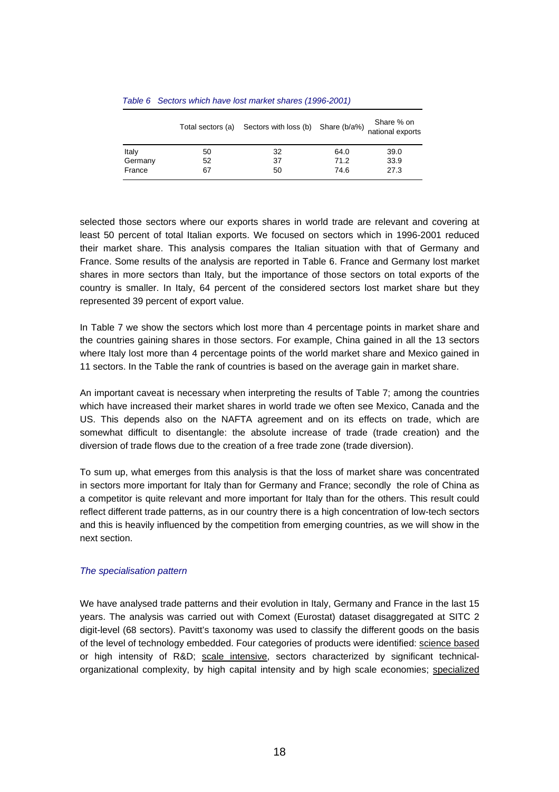|         |    | Total sectors (a) Sectors with loss (b) Share (b/a%) |      | Share % on<br>national exports |
|---------|----|------------------------------------------------------|------|--------------------------------|
| Italy   | 50 | 32                                                   | 64.0 | 39.0                           |
| Germany | 52 | 37                                                   | 71.2 | 33.9                           |
| France  | 67 | 50                                                   | 74.6 | 27.3                           |

### Table 6 Sectors which have lost market shares (1996-2001)

selected those sectors where our exports shares in world trade are relevant and covering at least 50 percent of total Italian exports. We focused on sectors which in 1996-2001 reduced their market share. This analysis compares the Italian situation with that of Germany and France. Some results of the analysis are reported in Table 6. France and Germany lost market shares in more sectors than Italy, but the importance of those sectors on total exports of the country is smaller. In Italy, 64 percent of the considered sectors lost market share but they represented 39 percent of export value.

In Table 7 we show the sectors which lost more than 4 percentage points in market share and the countries gaining shares in those sectors. For example, China gained in all the 13 sectors where Italy lost more than 4 percentage points of the world market share and Mexico gained in 11 sectors. In the Table the rank of countries is based on the average gain in market share.

An important caveat is necessary when interpreting the results of Table 7; among the countries which have increased their market shares in world trade we often see Mexico, Canada and the US. This depends also on the NAFTA agreement and on its effects on trade, which are somewhat difficult to disentangle: the absolute increase of trade (trade creation) and the diversion of trade flows due to the creation of a free trade zone (trade diversion).

To sum up, what emerges from this analysis is that the loss of market share was concentrated in sectors more important for Italy than for Germany and France; secondly the role of China as a competitor is quite relevant and more important for Italy than for the others. This result could reflect different trade patterns, as in our country there is a high concentration of low-tech sectors and this is heavily influenced by the competition from emerging countries, as we will show in the next section.

## The specialisation pattern

We have analysed trade patterns and their evolution in Italy, Germany and France in the last 15 years. The analysis was carried out with Comext (Eurostat) dataset disaggregated at SITC 2 digit-level (68 sectors). Pavitt's taxonomy was used to classify the different goods on the basis of the level of technology embedded. Four categories of products were identified: science based or high intensity of R&D; scale intensive, sectors characterized by significant technicalorganizational complexity, by high capital intensity and by high scale economies; specialized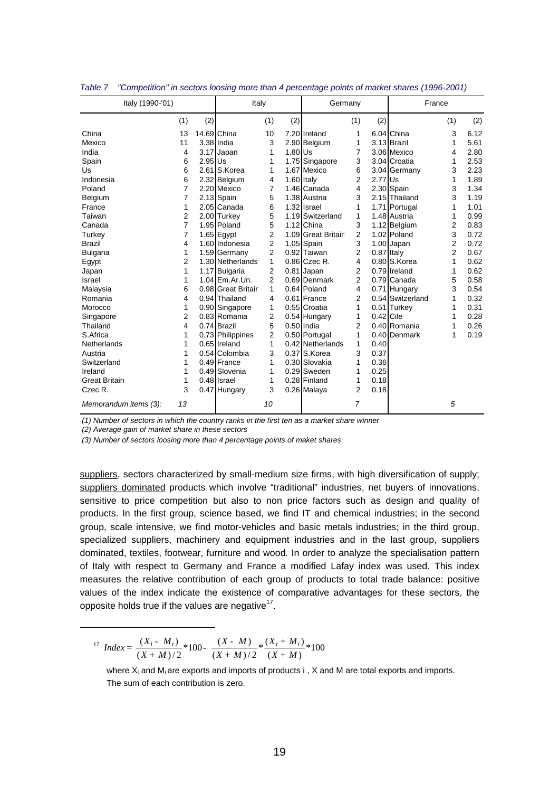| Italy (1990-'01)      |                |           | Italy              |                |            | Germany            |                |             |                  | France         |      |
|-----------------------|----------------|-----------|--------------------|----------------|------------|--------------------|----------------|-------------|------------------|----------------|------|
|                       | (1)            | (2)       |                    | (1)            | (2)        |                    | (1)            | (2)         |                  | (1)            | (2)  |
| China                 | 13             |           | 14.69 China        | 10             |            | 7.20 Ireland       | 1              |             | 6.04 China       | 3              | 6.12 |
| Mexico                | 11             |           | 3.38 India         | 3              |            | 2.90 Belgium       | 1              |             | 3.13 Brazil      | 1              | 5.61 |
| India                 | 4              |           | 3.17 Japan         | 1              | 1.80 Us    |                    | 7              |             | 3.06 Mexico      | 4              | 2.80 |
| Spain                 | 6              | $2.95$ Us |                    | 1              |            | 1.75 Singapore     | 3              |             | 3.04 Croatia     | 1              | 2.53 |
| Us                    | 6              |           | 2.61 S.Korea       | 1              |            | 1.67 Mexico        | 6              |             | 3.04 Germany     | 3              | 2.23 |
| Indonesia             | 6              |           | 2.32 Belgium       | 4              | 1.60 Italy |                    | 2              | $2.77$ Us   |                  | 1              | 1.89 |
| Poland                | 7              |           | 2.20 Mexico        | 7              |            | 1.46 Canada        | 4              |             | 2.30 Spain       | 3              | 1.34 |
| Belgium               | 7              |           | 2.13 Spain         | 5              |            | 1.38 Austria       | 3              |             | 2.15 Thailand    | 3              | 1.19 |
| France                | 1              |           | 2.05 Canada        | 6              |            | 1.32 Israel        | 1              |             | 1.71 Portugal    | 1              | 1.01 |
| Taiwan                | 2              |           | 2.00 Turkey        | 5              |            | 1.19 Switzerland   | 1              |             | 1.48 Austria     | 1              | 0.99 |
| Canada                | 7              |           | 1.95 Poland        | 5              |            | 1.12 China         | 3              |             | 1.12 Belgium     | 2              | 0.83 |
| Turkey                | 7              |           | 1.65 Egypt         | 2              |            | 1.09 Great Britair | 2              |             | 1.02 Poland      | 3              | 0.72 |
| <b>Brazil</b>         | 4              |           | 1.60 Indonesia     | 2              |            | 1.05 Spain         | 3              |             | 1.00 Japan       | 2              | 0.72 |
| <b>Bulgaria</b>       | 1              |           | 1.59 Germany       | $\overline{2}$ |            | 0.92 Taiwan        | $\overline{2}$ | 0.87 Italy  |                  | $\overline{2}$ | 0.67 |
| Egypt                 | $\overline{2}$ |           | 1.30 Netherlands   | 1              |            | $0.86$ Czec R.     | 4              |             | 0.80 S.Korea     | 1              | 0.62 |
| Japan                 | 1              |           | 1.17 Bulgaria      | 2              |            | 0.81 Japan         | 2              |             | 0.79 Ireland     | 1              | 0.62 |
| Israel                | 1              |           | $1.04$ Em. Ar. Un. | $\overline{2}$ |            | 0.69 Denmark       | $\overline{2}$ |             | 0.79 Canada      | 5              | 0.58 |
| Malaysia              | 6              |           | 0.98 Great Britair | 1              |            | 0.64 Poland        | 4              |             | 0.71 Hungary     | 3              | 0.54 |
| Romania               | 4              |           | 0.94 Thailand      | 4              |            | 0.61 France        | 2              |             | 0.54 Switzerland | 1              | 0.32 |
| Morocco               | 1              |           | 0.90 Singapore     | 1              |            | 0.55 Croatia       | 1              |             | 0.51 Turkey      | 1              | 0.31 |
| Singapore             | 2              |           | 0.83 Romania       | $\overline{2}$ |            | 0.54 Hungary       | 1              | $0.42$ Cile |                  | 1              | 0.28 |
| Thailand              | 4              |           | 0.74 Brazil        | 5              |            | $0.50$ India       | 2              |             | 0.40 Romania     | 1              | 0.26 |
| S.Africa              | 1              |           | 0.73 Philippines   | $\overline{2}$ |            | 0.50 Portugal      | 1              |             | 0.40 Denmark     | 1              | 0.19 |
| Netherlands           | 1              |           | 0.65 Ireland       | 1              |            | 0.42 Netherlands   | 1              | 0.40        |                  |                |      |
| Austria               | 1              |           | 0.54 Colombia      | 3              |            | 0.37 S.Korea       | 3              | 0.37        |                  |                |      |
| Switzerland           | 1              |           | $0.49$ France      | 1              |            | 0.30 Slovakia      | 1              | 0.36        |                  |                |      |
| Ireland               | 1              |           | 0.49 Slovenia      | 1              |            | 0.29 Sweden        | 1              | 0.25        |                  |                |      |
| <b>Great Britain</b>  | 1              |           | $0.48$ Israel      | 1              |            | 0.28 Finland       | 1              | 0.18        |                  |                |      |
| Czec R.               | 3              |           | 0.47 Hungary       | 3              |            | 0.26 Malaya        | 2              | 0.18        |                  |                |      |
| Memorandum items (3): | 13             |           |                    | 10             |            |                    | $\overline{7}$ |             |                  | 5              |      |

| Table 7 |  |  |  | "Competition" in sectors loosing more than 4 percentage points of market shares (1996-2001) |  |
|---------|--|--|--|---------------------------------------------------------------------------------------------|--|
|         |  |  |  |                                                                                             |  |

(1) Number of sectors in which the country ranks in the first ten as a market share winner

(2) Average gain of market share in these sectors

 $\overline{a}$ 

(3) Number of sectors loosing more than 4 percentage points of maket shares

suppliers, sectors characterized by small-medium size firms, with high diversification of supply; suppliers dominated products which involve "traditional" industries, net buyers of innovations, sensitive to price competition but also to non price factors such as design and quality of products. In the first group, science based, we find IT and chemical industries; in the second group, scale intensive, we find motor-vehicles and basic metals industries; in the third group, specialized suppliers, machinery and equipment industries and in the last group, suppliers dominated, textiles, footwear, furniture and wood. In order to analyze the specialisation pattern of Italy with respect to Germany and France a modified Lafay index was used. This index measures the relative contribution of each group of products to total trade balance: positive values of the index indicate the existence of comparative advantages for these sectors, the opposite holds true if the values are negative $17$ .

<sup>17</sup> Index = 
$$
\frac{(X_i - M_i)}{(X + M)/2} * 100 - \frac{(X - M)}{(X + M)/2} * \frac{(X_i + M_i)}{(X + M)} * 100
$$

where  $X_i$  and  $M_i$  are exports and imports of products  $i$ ,  $X$  and  $M$  are total exports and imports. The sum of each contribution is zero.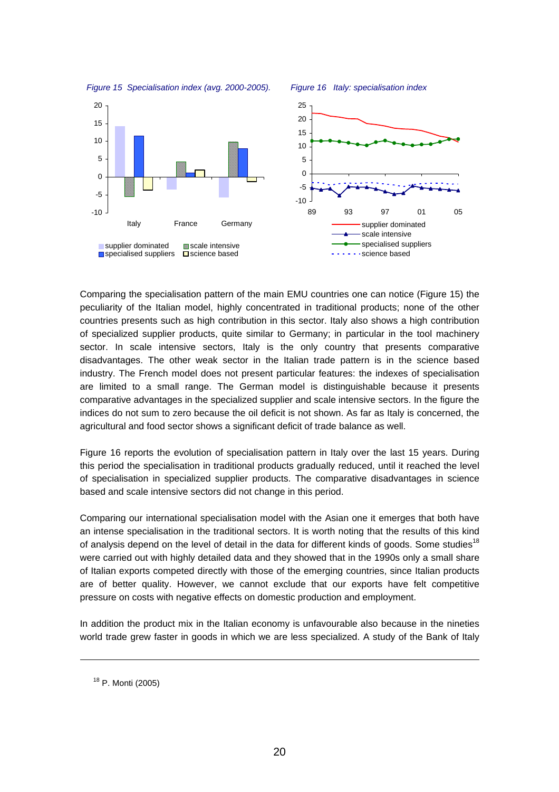

Comparing the specialisation pattern of the main EMU countries one can notice (Figure 15) the peculiarity of the Italian model, highly concentrated in traditional products; none of the other countries presents such as high contribution in this sector. Italy also shows a high contribution of specialized supplier products, quite similar to Germany; in particular in the tool machinery sector. In scale intensive sectors, Italy is the only country that presents comparative disadvantages. The other weak sector in the Italian trade pattern is in the science based industry. The French model does not present particular features: the indexes of specialisation are limited to a small range. The German model is distinguishable because it presents comparative advantages in the specialized supplier and scale intensive sectors. In the figure the indices do not sum to zero because the oil deficit is not shown. As far as Italy is concerned, the agricultural and food sector shows a significant deficit of trade balance as well.

Figure 16 reports the evolution of specialisation pattern in Italy over the last 15 years. During this period the specialisation in traditional products gradually reduced, until it reached the level of specialisation in specialized supplier products. The comparative disadvantages in science based and scale intensive sectors did not change in this period.

Comparing our international specialisation model with the Asian one it emerges that both have an intense specialisation in the traditional sectors. It is worth noting that the results of this kind of analysis depend on the level of detail in the data for different kinds of goods. Some studies<sup>18</sup> were carried out with highly detailed data and they showed that in the 1990s only a small share of Italian exports competed directly with those of the emerging countries, since Italian products are of better quality. However, we cannot exclude that our exports have felt competitive pressure on costs with negative effects on domestic production and employment.

In addition the product mix in the Italian economy is unfavourable also because in the nineties world trade grew faster in goods in which we are less specialized. A study of the Bank of Italy

<sup>18</sup> P. Monti (2005)

-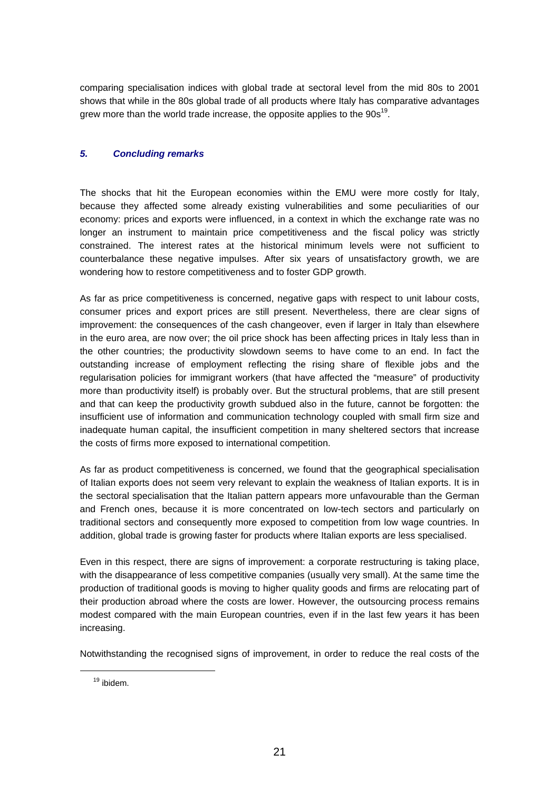comparing specialisation indices with global trade at sectoral level from the mid 80s to 2001 shows that while in the 80s global trade of all products where Italy has comparative advantages grew more than the world trade increase, the opposite applies to the  $90s^{19}$ .

# **5. Concluding remarks**

The shocks that hit the European economies within the EMU were more costly for Italy, because they affected some already existing vulnerabilities and some peculiarities of our economy: prices and exports were influenced, in a context in which the exchange rate was no longer an instrument to maintain price competitiveness and the fiscal policy was strictly constrained. The interest rates at the historical minimum levels were not sufficient to counterbalance these negative impulses. After six years of unsatisfactory growth, we are wondering how to restore competitiveness and to foster GDP growth.

As far as price competitiveness is concerned, negative gaps with respect to unit labour costs, consumer prices and export prices are still present. Nevertheless, there are clear signs of improvement: the consequences of the cash changeover, even if larger in Italy than elsewhere in the euro area, are now over; the oil price shock has been affecting prices in Italy less than in the other countries; the productivity slowdown seems to have come to an end. In fact the outstanding increase of employment reflecting the rising share of flexible jobs and the regularisation policies for immigrant workers (that have affected the "measure" of productivity more than productivity itself) is probably over. But the structural problems, that are still present and that can keep the productivity growth subdued also in the future, cannot be forgotten: the insufficient use of information and communication technology coupled with small firm size and inadequate human capital, the insufficient competition in many sheltered sectors that increase the costs of firms more exposed to international competition.

As far as product competitiveness is concerned, we found that the geographical specialisation of Italian exports does not seem very relevant to explain the weakness of Italian exports. It is in the sectoral specialisation that the Italian pattern appears more unfavourable than the German and French ones, because it is more concentrated on low-tech sectors and particularly on traditional sectors and consequently more exposed to competition from low wage countries. In addition, global trade is growing faster for products where Italian exports are less specialised.

Even in this respect, there are signs of improvement: a corporate restructuring is taking place, with the disappearance of less competitive companies (usually very small). At the same time the production of traditional goods is moving to higher quality goods and firms are relocating part of their production abroad where the costs are lower. However, the outsourcing process remains modest compared with the main European countries, even if in the last few years it has been increasing.

Notwithstanding the recognised signs of improvement, in order to reduce the real costs of the

<sup>19</sup> ibidem.